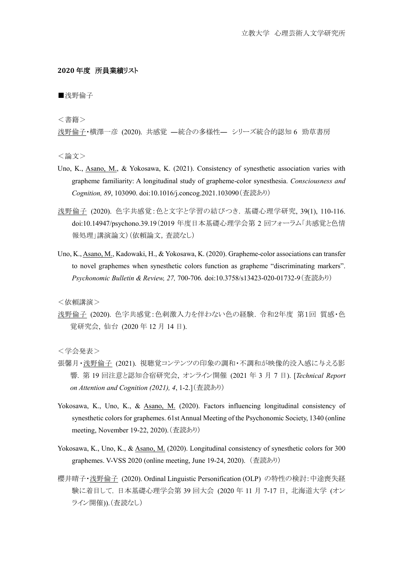## **2020** 年度 所員業績リスト

■浅野倫子

<書籍>

浅野倫子・横澤一彦 (2020). 共感覚 ―統合の多様性― シリーズ統合的認知 6 勁草書房

<論文>

- Uno, K., Asano, M., & Yokosawa, K. (2021). Consistency of synesthetic association varies with grapheme familiarity: A longitudinal study of grapheme-color synesthesia. *Consciousness and Cognition, 89*, 103090. doi:10.1016/j.concog.2021.103090(査読あり)
- 浅野倫子 (2020). 色字共感覚:色と文字と学習の結びつき. 基礎心理学研究, 39(1), 110-116. doi:10.14947/psychono.39.19(2019 年度日本基礎心理学会第 2 回フォーラム「共感覚と色情 報処理」講演論文)(依頼論文,査読なし)
- Uno, K., Asano, M., Kadowaki, H., & Yokosawa, K. (2020). Grapheme-color associations can transfer to novel graphemes when synesthetic colors function as grapheme "discriminating markers". *Psychonomic Bulletin & Review, 27,* 700-706*.* doi:10.3758/s13423-020-01732-9(査読あり)

<依頼講演>

浅野倫子 (2020). 色字共感覚:色刺激入力を伴わない色の経験. 令和2年度 第1回 質感・色 覚研究会, 仙台 (2020 年 12 月 14 日).

<学会発表>

- 張馨月・浅野倫子 (2021). 視聴覚コンテンツの印象の調和・不調和が映像的没入感に与える影 響. 第 19 回注意と認知合宿研究会, オンライン開催 (2021 年 3 月 7 日). [*Technical Report on Attention and Cognition (2021), 4*, 1-2.](査読あり)
- Yokosawa, K., Uno, K., & Asano, M. (2020). Factors influencing longitudinal consistency of synesthetic colors for graphemes. 61st Annual Meeting of the Psychonomic Society, 1340 (online meeting, November 19-22, 2020).(査読あり)
- Yokosawa, K., Uno, K., & Asano, M. (2020). Longitudinal consistency of synesthetic colors for 300 graphemes. V-VSS 2020 (online meeting, June 19-24, 2020). (査読あり)
- 櫻井晴子·送野倫子 (2020). Ordinal Linguistic Personification (OLP) の特性の検討:中途喪失経 験に着目して. 日本基礎心理学会第 39 回大会 (2020 年 11 月 7-17 日, 北海道大学 (オン ライン開催)).(査読なし)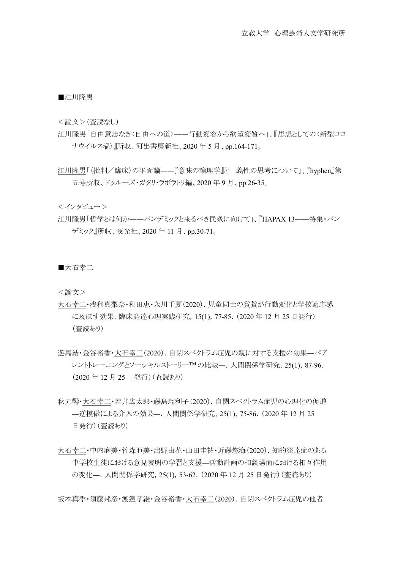■江川隆男

<論文>(査読なし)

- 江川隆男「自由意志なき〈自由への道〉――行動変容から欲望変質へ」、『思想としての〈新型コロ ナウイルス渦〉』所収、河出書房新社、2020 年 5 月、pp.164-171。
- 江川隆男「〈批判/臨床〉の平面論――『意味の論理学』と一義性の思考について」、『hyphen』第 五号所収、ドゥルーズ・ガタリ・ラボラトリ編、2020 年 9 月、pp.26-35。

<インタビュー>

江川隆男「哲学とは何か――パンデミックと来るべき民衆に向けて」、『HAPAX 13――特集・パン デミック』所収、夜光社、2020 年 11 月、pp.30-71。

■大石幸二

<論文>

- 大石幸二・浅利真梨奈・和田恵・永川千夏(2020).児童同士の賞賛が行動変化と学校適応感 に及ぼす効果.臨床発達心理実践研究,15(1),77-85.(2020 年 12 月 25 日発行) (査読あり)
- 遊馬結・金谷裕香・大石幸二(2020).自閉スペクトラム症児の親に対する支援の効果―ペア レントトレーニングとソーシャルストーリーTM の比較––. 人間関係学研究, 25(1), 87-96. (2020 年 12 月 25 日発行)(査読あり)
- 秋元響・大石幸二・若井広太郎・藤島瑠利子(2020).自閉スペクトラム症児の心理化の促進 ―逆模倣による介入の効果―.人間関係学研究,25(1),75-86.(2020 年 12 月 25 日発行) (査読あり)
- 大石幸二・中内麻美・竹森亜美・出野由花・山田圭祐・近藤悠海(2020). 知的発達症のある 中学校生徒における意見表明の学習と支援―活動計画の相談場面における相互作用 の変化―.人間関係学研究,25(1),53-62.(2020 年 12 月 25 日発行)(査読あり)

坂本真季・須藤邦彦・渡邉孝継・金谷裕香・大石幸二(2020).自閉スペクトラム症児の他者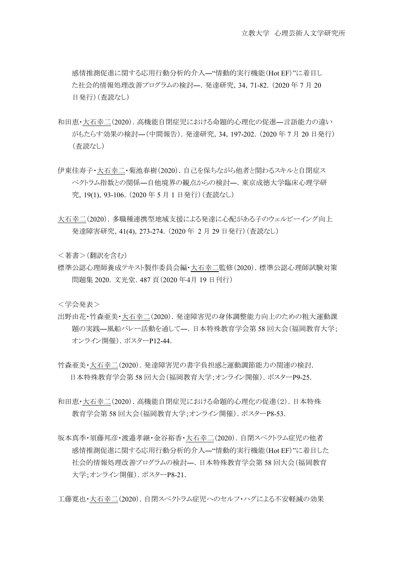感情推測促進に関する応用行動分析的介入―"情動的実行機能(Hot EF)"に着目し た社会的情報処理改善プログラムの検討―.発達研究,34,71-82.(2020 年 7 月 20 日発行)(査読なし)

- 和田恵・大石幸二(2020).高機能自閉症児における命題的心理化の促進―言語能力の違い がもたらす効果の検討―(中間報告).発達研究,34,197-202.(2020 年 7 月 20 日発行) (査読なし)
- 伊東佳寿子・大石幸二・菊池春樹(2020).自己を保ちながら他者と関わるスキルと自閉症ス ペクトラム指数との関係―自他境界の観点からの検討―.東京成徳大学臨床心理学研 究,19(1),93-106.(2020 年 5 月 1 日発行)(査読なし)
- 大石幸二(2020).多職種連携型地域支援による発達に心配がある子のウェルビーイング向上 発達障害研究,41(4),273-274.(2020 年 2 月 29 日発行)(査読なし)

<著書>(翻訳を含む)

標準公認心理師養成テキスト製作委員会編・大石幸二監修(2020).標準公認心理師試験対策 問題集 2020.文光堂.487 頁(2020 年4月 19 日刊行)

<学会発表>

- 出野由花・竹森亜美・大石幸二(2020).発達障害児の身体調整能力向上のための粗大運動課 題の実践―風船バレー活動を通して―.日本特殊教育学会第 58 回大会(福岡教育大学; オンライン開催). ポスターP12-44.
- 竹森亜美・大石幸二(2020).発達障害児の書字負担感と運動調節能力の関連の検討. 日本特殊教育学会第 58 回大会(福岡教育大学;オンライン開催).ポスターP9-25.
- 和田恵・大石幸二(2020).高機能自閉症児における命題的心理化の促進(2).日本特殊 教育学会第 58 回大会(福岡教育大学;オンライン開催).ポスターP8-53.
- 坂本真季・須藤邦彦・渡邉孝継・金谷裕香・大石幸二(2020).自閉スペクトラム症児の他者 感情推測促進に関する応用行動分析的介入―"情動的実行機能(Hot EF)"に着目した 社会的情報処理改善プログラムの検討―.日本特殊教育学会第 58 回大会(福岡教育 大学;オンライン開催).ポスターP8-21.

工藤寛也・大石幸二(2020). 自閉スペクトラム症児へのセルフ・ハグによる不安軽減の効果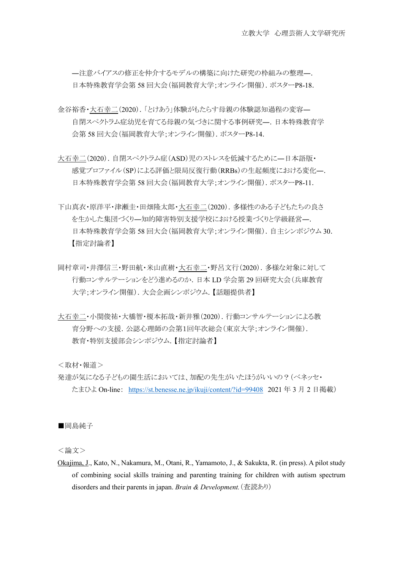―注意バイアスの修正を仲介するモデルの構築に向けた研究の枠組みの整理―. 日本特殊教育学会第 58 回大会(福岡教育大学;オンライン開催). ポスターP8-18.

- 金谷裕香・大石幸二(2020).「とけあう」体験がもたらす母親の体験認知過程の変容― 自閉スペクトラム症幼児を育てる母親の気づきに関する事例研究―.日本特殊教育学 会第 58 回大会(福岡教育大学;オンライン開催).ポスターP8-14.
- 大石幸二(2020).自閉スペクトラム症(ASD)児のストレスを低減するために―日本語版・ 感覚プロファイル(SP)による評価と限局反復行動(RRBs)の生起頻度における変化―. 日本特殊教育学会第 58 回大会(福岡教育大学;オンライン開催). ポスターP8-11.
- 下山真衣・原洋平・津瀬圭・田畑隆太郎・大石幸二(2020).多様性のある子どもたちの良さ を生かした集団づくり―知的障害特別支援学校における授業づくりと学級経営―. 日本特殊教育学会第 58 回大会(福岡教育大学;オンライン開催).自主シンポジウム 30. 【指定討論者】
- 岡村章司・井澤信三・野田航・米山直樹・大石幸二・野呂文行(2020).多様な対象に対して 行動コンサルテーションをどう進めるのか.日本 LD 学会第 29 回研究大会(兵庫教育 大学;オンライン開催). 大会企画シンポジウム.【話題提供者】
- 大石幸二・小関俊祐・大橋智・榎本拓哉・新井雅(2020).行動コンサルテーションによる教 育分野への支援.公認心理師の会第1回年次総会(東京大学;オンライン開催). 教育・特別支援部会シンポジウム.【指定討論者】

<取材・報道>

発達が気になる子どもの園生活においては、加配の先生がいたほうがいいの?(ベネッセ・ たまひよ On-line: <https://st.benesse.ne.jp/ikuji/content/?id=99408> 2021 年 3 月 2 日掲載)

■岡島純子

<論文>

Okajima, J., Kato, N., Nakamura, M., Otani, R., Yamamoto, J., & Sakukta, R. (in press). A pilot study of combining social skills training and parenting training for children with autism spectrum disorders and their parents in japan. *Brain & Development.*(査読あり)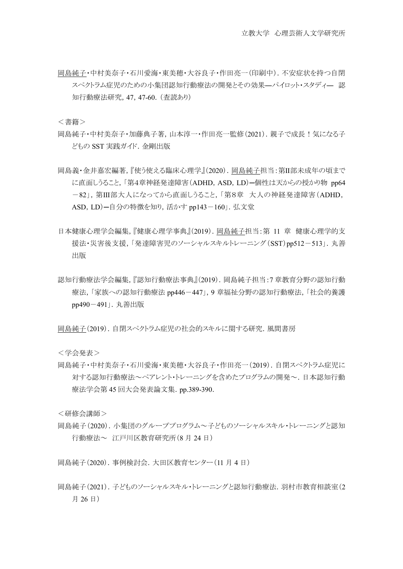岡島純子・中村美奈子・石川愛海・東美穂・大谷良子・作田亮一(印刷中).不安症状を持つ自閉 スペクトラム症児のための小集団認知行動療法の開発とその効果―パイロット・スタディ― 認 知行動療法研究,47,47-60.(査読あり)

<書籍>

- 岡島純子・中村美奈子・加藤典子著,山本淳一・作田亮一監修(2021).親子で成長!気になる子 どもの SST 実践ガイド.金剛出版
- 岡島義・金井嘉宏編著,『使う使える臨床心理学』(2020).岡島純子担当:第Ⅱ部未成年の頃まで に直面しうること,「第4章神経発達障害(ADHD, ASD, LD)ー個性は天からの授かり物 pp64 -82」,第Ⅲ部大人になってから直面しうること,「第8章 大人の神経発達障害(ADHD, ASD, LD)ー自分の特徴を知り,活かす pp143-160」. 弘文堂
- 日本健康心理学会編集,『健康心理学事典』(2019).岡島純子担当:第 11 章 健康心理学的支 援法・災害後支援,「発達障害児のソーシャルスキルトレーニング(SST)pp512-513」.丸善 出版
- 認知行動療法学会編集,『認知行動療法事典』(2019).岡島純子担当:7 章教育分野の認知行動 療法,「家族への認知行動療法 pp446-447」,9 章福祉分野の認知行動療法,「社会的養護 pp490-491」.丸善出版

岡島純子(2019).自閉スペクトラム症児の社会的スキルに関する研究.風間書房

<学会発表>

岡島純子・中村美奈子・石川愛海・東美穂・大谷良子・作田亮一(2019).自閉スペクトラム症児に 対する認知行動療法~ペアレント・トレーニングを含めたプログラムの開発~.日本認知行動 療法学会第 45 回大会発表論文集.pp.389-390.

<研修会講師>

岡島純子(2020).小集団のグループプログラム~子どものソーシャルスキル・トレーニングと認知 行動療法~ 江戸川区教育研究所(8 月 24 日)

岡島純子(2020).事例検討会.大田区教育センター(11 月 4 日)

岡島純子(2021).子どものソーシャルスキル・トレーニングと認知行動療法.羽村市教育相談室(2 月 26 日)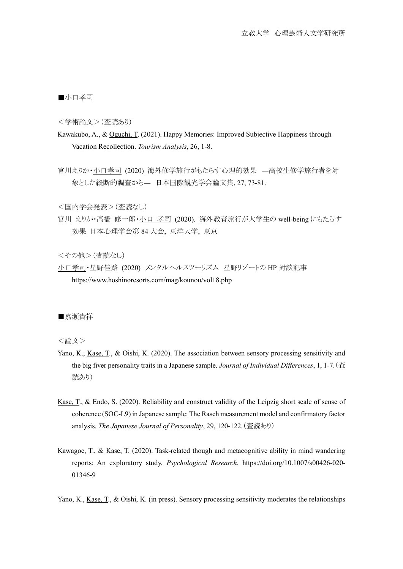■小口孝司

<学術論文>(査読あり)

- Kawakubo, A., & Oguchi, T. (2021). Happy Memories: Improved Subjective Happiness through Vacation Recollection. *Tourism Analysis*, 26, 1-8.
- 宮川えりか・小口孝司 (2020) 海外修学旅行がもたらす心理的効果 ―高校生修学旅行者を対 象とした縦断的調査から― 日本国際観光学会論文集, 27, 73-81.

<国内学会発表>(査読なし)

宮川 えりか・髙橋 修一郎・小口 孝司 (2020). 海外教育旅行が大学生の well-being にもたらす 効果 日本心理学会第 84 大会, 東洋大学, 東京

<その他>(査読なし)

小口孝司・星野佳路 (2020) メンタルヘルスツーリズム 星野リゾートの HP 対談記事 https://www.hoshinoresorts.com/mag/kounou/vol18.php

■嘉瀬貴祥

<論文>

- Yano, K., Kase, T., & Oishi, K. (2020). The association between sensory processing sensitivity and the big fiver personality traits in a Japanese sample. *Journal of Individual Differences*, 1, 1-7.(査 読あり)
- Kase, T., & Endo, S. (2020). Reliability and construct validity of the Leipzig short scale of sense of coherence (SOC-L9) in Japanese sample: The Rasch measurement model and confirmatory factor analysis. *The Japanese Journal of Personality*, 29, 120-122.(査読あり)
- Kawagoe, T., & Kase, T. (2020). Task-related though and metacognitive ability in mind wandering reports: An exploratory study. *Psychological Research*. https://doi.org/10.1007/s00426-020- 01346-9

Yano, K., Kase, T., & Oishi, K. (in press). Sensory processing sensitivity moderates the relationships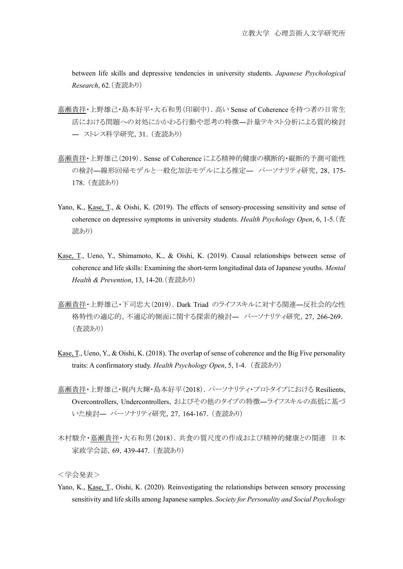between life skills and depressive tendencies in university students. *Japanese Psychological Research*, 62.(査読あり)

- 嘉瀬貴祥・上野雄己・島本好平・大石和男(印刷中).高い Sense of Coherence を持つ者の日常生 活における問題への対処にかかわる行動や思考の特徴―計量テキスト分析による質的検討 ― ストレス科学研究,31.(査読あり)
- 嘉瀬貴祥・上野雄己(2019). Sense of Coherence による精神的健康の横断的・縦断的予測可能性 の検討―線形回帰モデルと一般化加法モデルによる推定― パーソナリティ研究, 28, 175-178.(査読あり)
- Yano, K., Kase, T., & Oishi, K. (2019). The effects of sensory-processing sensitivity and sense of coherence on depressive symptoms in university students. *Health Psychology Open*, 6, 1-5.(査 読あり)
- Kase, T., Ueno, Y., Shimamoto, K., & Oishi, K. (2019). Causal relationships between sense of coherence and life skills: Examining the short-term longitudinal data of Japanese youths. *Mental Health & Prevention*, 13, 14-20.(査読あり)
- 嘉瀬貴祥・上野雄己・下司忠大(2019).Dark Triad のライフスキルに対する関連―反社会的な性 格特性の適応的,不適応的側面に関する探索的検討― パーソナリティ研究,27,266-269. (査読あり)
- Kase, T., Ueno, Y., & Oishi, K. (2018). The overlap of sense of coherence and the Big Five personality traits: A confirmatory study. *Health Psychology Open*, 5, 1-4. (査読あり)
- 嘉瀬貴祥・上野雄己・梶内大輝・島本好平(2018). パーソナリティ・プロトタイプにおける Resilients, Overcontrollers, Undercontrollers,およびその他のタイプの特徴―ライフスキルの高低に基づ いた検討― パーソナリティ研究,27,164-167.(査読あり)
- 木村駿介・嘉瀬貴祥・大石和男(2018). 共食の質尺度の作成および精神的健康との関連 日本 家政学会誌,69,439-447.(査読あり)

<学会発表>

Yano, K., Kase, T., Oishi, K. (2020). Reinvestigating the relationships between sensory processing sensitivity and life skills among Japanese samples. *Society for Personality and Social Psychology*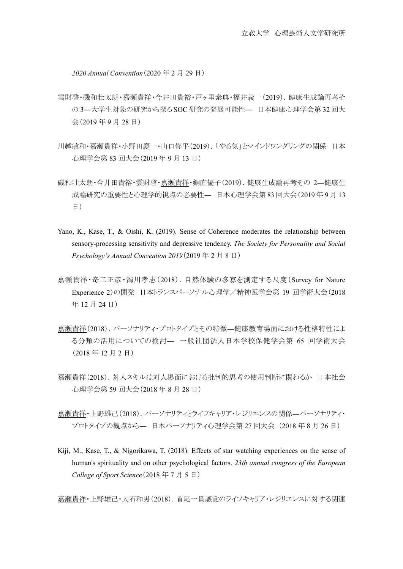*2020 Annual Convention*(2020 年 2 月 29 日)

- 雲財啓・磯和壮太朗・嘉瀬貴祥・今井田貴裕・戸ヶ里泰典・福井義一(2019). 健康生成論再考そ の 3―大学生対象の研究から探る SOC 研究の発展可能性― 日本健康心理学会第 32 回大 会(2019 年 9 月 28 日)
- 川越敏和・嘉瀬貴祥・小野田慶一・山口修平(2019).「やる気」とマインドワンダリングの関係 日本 心理学会第 83 回大会(2019 年 9 月 13 日)
- 磯和壮太朗・今井田貴裕・雲財啓・嘉瀬貴祥・銅直優子(2019).健康生成論再考その 2―健康生 成論研究の重要性と心理学的視点の必要性― 日本心理学会第 83 回大会(2019 年 9 月 13 日)
- Yano, K., Kase, T., & Oishi, K. (2019). Sense of Coherence moderates the relationship between sensory-processing sensitivity and depressive tendency. *The Society for Personality and Social Psychology's Annual Convention 2019*(2019 年 2 月 8 日)
- 嘉瀬貴祥・奇二正彦・濁川孝志(2018).自然体験の多寡を測定する尺度(Survey for Nature Experience 2)の開発 日本トランスパーソナル心理学/精神医学会第 19 回学術大会(2018 年 12 月 24 日)
- 嘉瀬貴祥(2018).パーソナリティ・プロトタイプとその特徴―健康教育場面における性格特性によ る分類の活用についての検討― 一般社団法人日本学校保健学会第 65 回学術大会 (2018 年 12 月 2 日)
- 嘉瀬貴祥(2018).対人スキルは対人場面における批判的思考の使用判断に関わるか 日本社会 心理学会第 59 回大会(2018 年 8 月 28 日)
- 嘉瀬貴祥・上野雄己(2018). パーソナリティとライフキャリア・レジリエンスの関係―パーソナリティ・ プロトタイプの観点から― 日本パーソナリティ心理学会第 27 回大会 (2018 年 8 月 26 日)
- Kiji, M., Kase, T., & Nigorikawa, T. (2018). Effects of star watching experiences on the sense of human's spirituality and on other psychological factors. *23th annual congress of the European College of Sport Science*(2018 年 7 月 5 日)

嘉瀬貴祥・上野雄己・大石和男(2018).首尾一貫感覚のライフキャリア・レジリエンスに対する関連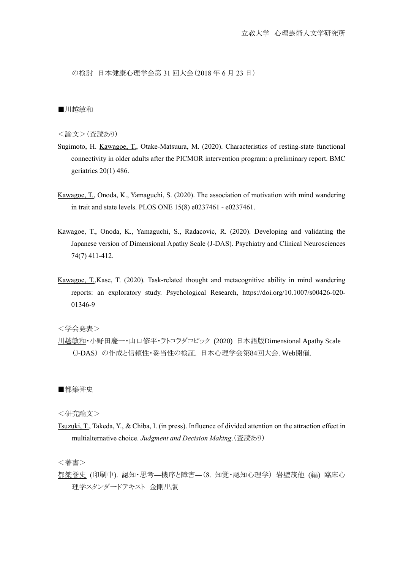の検討 日本健康心理学会第 31 回大会(2018 年 6 月 23 日)

## ■川越敏和

<論文>(査読あり)

- Sugimoto, H. Kawagoe, T., Otake-Matsuura, M. (2020). Characteristics of resting-state functional connectivity in older adults after the PICMOR intervention program: a preliminary report. BMC geriatrics 20(1) 486.
- Kawagoe, T., Onoda, K., Yamaguchi, S. (2020). The association of motivation with mind wandering in trait and state levels. PLOS ONE 15(8) e0237461 - e0237461.
- Kawagoe, T., Onoda, K., Yamaguchi, S., Radacovic, R. (2020). Developing and validating the Japanese version of Dimensional Apathy Scale (J-DAS). Psychiatry and Clinical Neurosciences 74(7) 411-412.
- Kawagoe, T.,Kase, T. (2020). Task-related thought and metacognitive ability in mind wandering reports: an exploratory study. Psychological Research, https://doi.org/10.1007/s00426-020- 01346-9

<学会発表>

川越敏和・小野田慶一・山口修平・ラトコラダコビック (2020) 日本語版Dimensional Apathy Scale (J-DAS) の作成と信頼性・妥当性の検証. 日本心理学会第84回大会. Web開催.

■都築誉史

<研究論文>

Tsuzuki, T., Takeda, Y., & Chiba, I. (in press). Influence of divided attention on the attraction effect in multialternative choice. *Judgment and Decision Making*.(査読あり)

<著書>

都築誉史 (印刷中). 認知・思考―機序と障害―(8. 知覚・認知心理学) 岩壁茂他 (編) 臨床心 理学スタンダードテキスト 金剛出版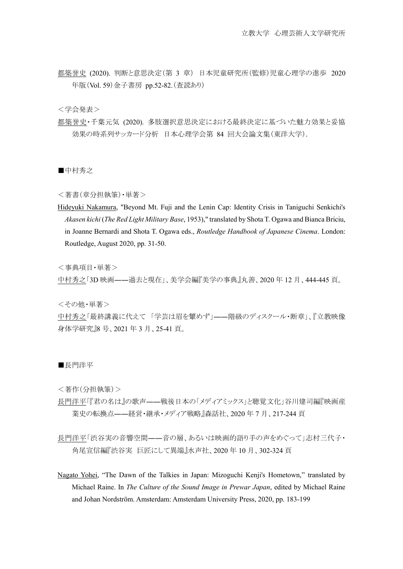都築誉史 (2020). 判断と意思決定(第 3 章) 日本児童研究所(監修)児童心理学の進歩 2020 年版(Vol. 59)金子書房 pp.52-82.(査読あり)

<学会発表>

都築誉史・千葉元気 (2020). 多肢選択意思決定における最終決定に基づいた魅力効果と妥協 効果の時系列サッカード分析 日本心理学会第 84 回大会論文集(東洋大学).

■中村秀之

<著書(章分担執筆)・単著>

Hideyuki Nakamura, "Beyond Mt. Fuji and the Lenin Cap: Identity Crisis in Taniguchi Senkichi's *Akasen kichi* (*The Red Light Military Base*, 1953)," translated by Shota T. Ogawa and Bianca Briciu, in Joanne Bernardi and Shota T. Ogawa eds., *Routledge Handbook of Japanese Cinema*. London: Routledge, August 2020, pp. 31-50.

<事典項目・単著>

中村秀之「3D 映画――過去と現在」、美学会編『美学の事典』丸善、2020 年 12 月、444-445 頁。

<その他・単著>

中村秀之「最終講義に代えて 「学芸は眉を顰めず」――階級のディスクール・断章」、『立教映像 身体学研究』8 号、2021 年 3 月、25-41 頁。

■長門洋平

<著作(分担執筆)>

- 長門洋平「『君の名は』の歌声――戦後日本の「メディアミックス」と聴覚文化」谷川建司編『映画産 業史の転換点––経営・継承・メディア戦略』森話社、2020年7月、217-244 頁
- 長門洋平「渋谷実の音響空間――音の層、あるいは映画的語り手の声をめぐって」志村三代子・ 角尾宣信編『渋谷実 巨匠にして異端』水声社、2020 年 10 月、302-324 頁
- Nagato Yohei, "The Dawn of the Talkies in Japan: Mizoguchi Kenji's Hometown," translated by Michael Raine. In *The Culture of the Sound Image in Prewar Japan*, edited by Michael Raine and Johan Nordström. Amsterdam: Amsterdam University Press, 2020, pp. 183-199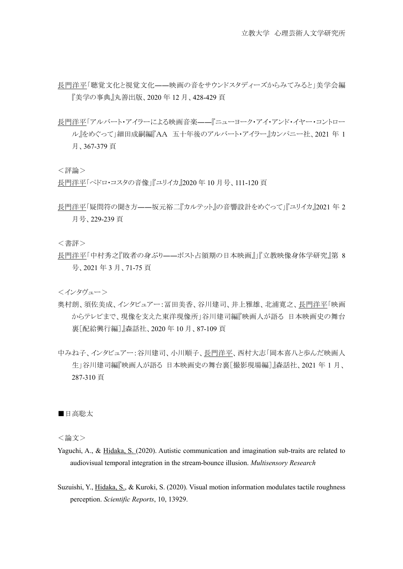- 長門洋平「聴覚文化と視覚文化――映画の音をサウンドスタディーズからみてみると」美学会編 『美学の事典』丸善出版、2020 年 12 月、428-429 頁
- 長門洋平「アルバート・アイラーによる映画音楽――『ニューヨーク・アイ・アンド・イヤー・コントロー ル』をめぐって」細田成嗣編『AA 五十年後のアルバート・アイラー』カンパニー社、2021 年 1 月、367-379 頁

<評論>

長門洋平「ペドロ・コスタの音像」『ユリイカ』2020 年 10 月号、111-120 頁

長門洋平「疑問符の聞き方――坂元裕二『カルテット』の音響設計をめぐって」『ユリイカ』2021 年 2 月号、229-239 頁

<書評>

長門洋平「中村秀之『敗者の身ぶり――ポスト占領期の日本映画』」『立教映像身体学研究』第 8 号、2021 年 3 月、71-75 頁

<インタヴュー>

- 奥村朗、須佐美成、インタビュアー:冨田美香、谷川建司、井上雅雄、北浦寛之、長門洋平「映画 からテレビまで、現像を支えた東洋現像所」谷川建司編『映画人が語る 日本映画史の舞台 裏[配給興行編]』森話社、2020 年 10 月、87-109 頁
- 中みね子、インタビュアー:谷川建司、小川順子、長門洋平、西村大志「岡本喜八と歩んだ映画人 生」谷川建司編『映画人が語る 日本映画史の舞台裏[撮影現場編]』森話社、2021 年 1 月、 287-310 頁

■日高聡太

<論文>

- Yaguchi, A., & Hidaka, S. (2020). Autistic communication and imagination sub-traits are related to audiovisual temporal integration in the stream-bounce illusion. *Multisensory Research*
- Suzuishi, Y., Hidaka, S., & Kuroki, S. (2020). Visual motion information modulates tactile roughness perception. *Scientific Reports*, 10, 13929.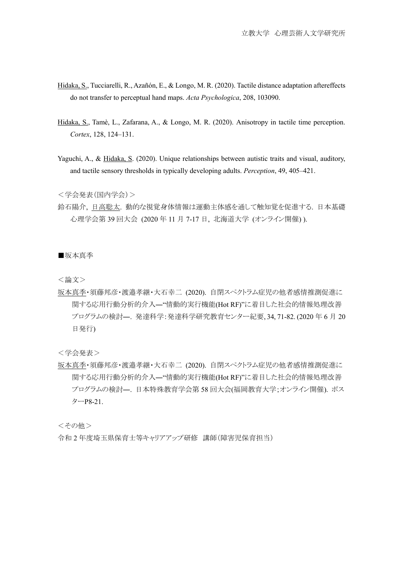- Hidaka, S., Tucciarelli, R., Azañón, E., & Longo, M. R. (2020). Tactile distance adaptation aftereffects do not transfer to perceptual hand maps. *Acta Psychologica*, 208, 103090.
- Hidaka, S., Tamè, L., Zafarana, A., & Longo, M. R. (2020). Anisotropy in tactile time perception. *Cortex*, 128, 124–131.
- Yaguchi, A., & Hidaka, S. (2020). Unique relationships between autistic traits and visual, auditory, and tactile sensory thresholds in typically developing adults. *Perception*, 49, 405–421.

<学会発表(国内学会)>

鈴石陽介, 日高聡太. 動的な視覚身体情報は運動主体感を通して触知覚を促進する. 日本基礎 心理学会第 39 回大会 (2020 年 11 月 7-17 日, 北海道大学 (オンライン開催) ).

■坂本真季

<論文>

坂本真季・須藤邦彦・渡邉孝継・大石幸二 (2020). 自閉スペクトラム症児の他者感情推測促進に 関する応用行動分析的介入―"情動的実行機能(Hot RF)"に着目した社会的情報処理改善 プログラムの検討―. 発達科学:発達科学研究教育センター紀要, 34, 71-82. (2020 年 6 月 20 日発行)

<学会発表>

坂本真季・須藤邦彦・渡邉孝継・大石幸二 (2020). 自閉スペクトラム症児の他者感情推測促進に 関する応用行動分析的介入―"情動的実行機能(Hot RF)"に着目した社会的情報処理改善 プログラムの検討―. 日本特殊教育学会第 58 回大会(福岡教育大学;オンライン開催). ポス ターP8-21.

<その他>

令和 2 年度埼玉県保育士等キャリアアップ研修 講師(障害児保育担当)